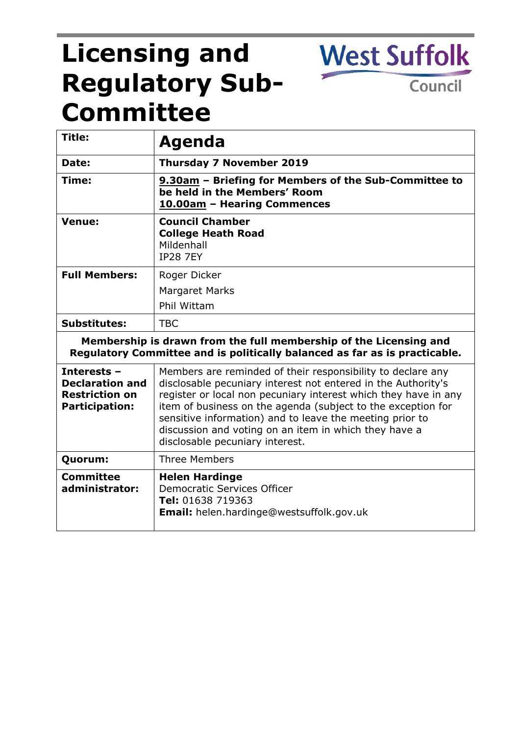# **Licensing and Regulatory Sub-Committee**

**Title: Agenda Date: Thursday 7 November 2019 Time: 9.30am – Briefing for Members of the Sub-Committee to be held in the Members' Room 10.00am – Hearing Commences Venue: Council Chamber College Heath Road** Mildenhall IP28 7EY **Full Members:** Roger Dicker Margaret Marks Phil Wittam **Substitutes:** TBC **Membership is drawn from the full membership of the Licensing and Regulatory Committee and is politically balanced as far as is practicable. Interests – Declaration and Restriction on Participation:** Members are reminded of their responsibility to declare any disclosable pecuniary interest not entered in the Authority's register or local non pecuniary interest which they have in any item of business on the agenda (subject to the exception for sensitive information) and to leave the meeting prior to discussion and voting on an item in which they have a disclosable pecuniary interest. **Quorum:** Three Members **Committee administrator: Helen Hardinge** Democratic Services Officer **Tel:** 01638 719363 **Email:** helen.hardinge@westsuffolk.gov.uk

**West Suffolk** 

Council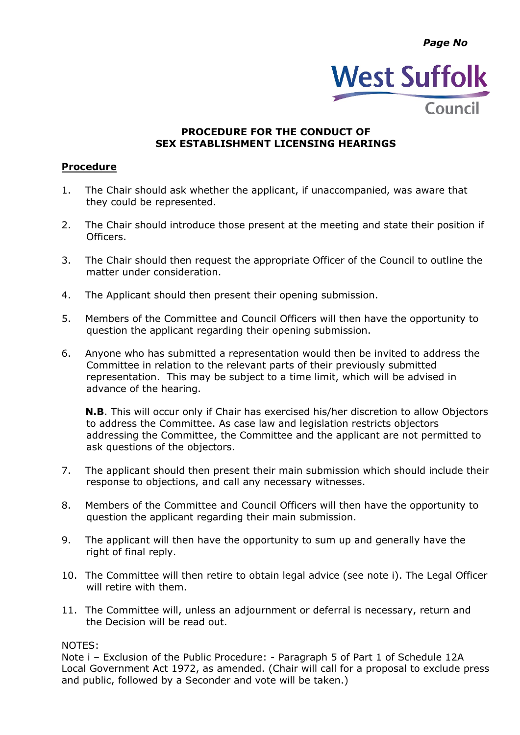*Page No*



## **PROCEDURE FOR THE CONDUCT OF SEX ESTABLISHMENT LICENSING HEARINGS**

## **Procedure**

- 1. The Chair should ask whether the applicant, if unaccompanied, was aware that they could be represented.
- 2. The Chair should introduce those present at the meeting and state their position if Officers.
- 3. The Chair should then request the appropriate Officer of the Council to outline the matter under consideration.
- 4. The Applicant should then present their opening submission.
- 5. Members of the Committee and Council Officers will then have the opportunity to question the applicant regarding their opening submission.
- 6. Anyone who has submitted a representation would then be invited to address the Committee in relation to the relevant parts of their previously submitted representation. This may be subject to a time limit, which will be advised in advance of the hearing.

**N.B**. This will occur only if Chair has exercised his/her discretion to allow Objectors to address the Committee. As case law and legislation restricts objectors addressing the Committee, the Committee and the applicant are not permitted to ask questions of the objectors.

- 7. The applicant should then present their main submission which should include their response to objections, and call any necessary witnesses.
- 8. Members of the Committee and Council Officers will then have the opportunity to question the applicant regarding their main submission.
- 9. The applicant will then have the opportunity to sum up and generally have the right of final reply.
- 10. The Committee will then retire to obtain legal advice (see note i). The Legal Officer will retire with them.
- 11. The Committee will, unless an adjournment or deferral is necessary, return and the Decision will be read out.

#### NOTES:

Note i – Exclusion of the Public Procedure: - Paragraph 5 of Part 1 of Schedule 12A Local Government Act 1972, as amended. (Chair will call for a proposal to exclude press and public, followed by a Seconder and vote will be taken.)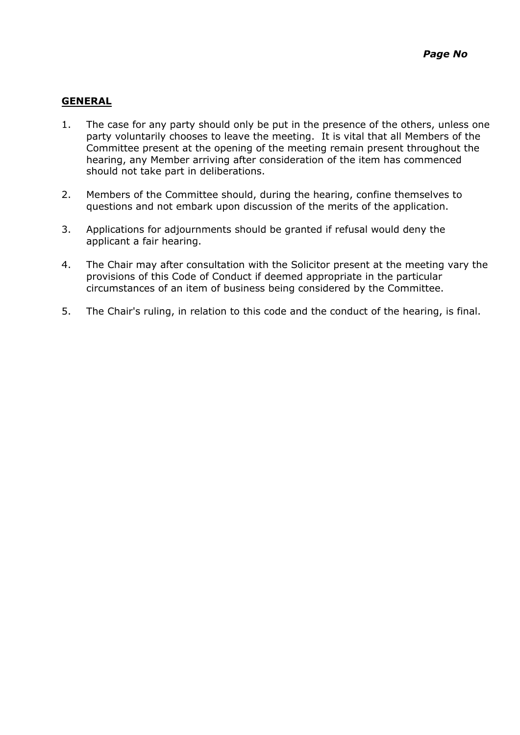## **GENERAL**

- 1. The case for any party should only be put in the presence of the others, unless one party voluntarily chooses to leave the meeting. It is vital that all Members of the Committee present at the opening of the meeting remain present throughout the hearing, any Member arriving after consideration of the item has commenced should not take part in deliberations.
- 2. Members of the Committee should, during the hearing, confine themselves to questions and not embark upon discussion of the merits of the application.
- 3. Applications for adjournments should be granted if refusal would deny the applicant a fair hearing.
- 4. The Chair may after consultation with the Solicitor present at the meeting vary the provisions of this Code of Conduct if deemed appropriate in the particular circumstances of an item of business being considered by the Committee.
- 5. The Chair's ruling, in relation to this code and the conduct of the hearing, is final.